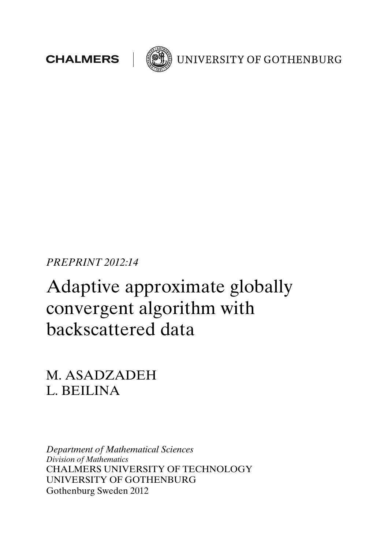



UNIVERSITY OF GOTHENBURG

PREPRINT 2012:14

# Adaptive approximate globally convergent algorithm with backscattered data

M. ASADZADEH L. BEILINA

Department of Mathematical Sciences Division of Mathematics CHALMERS UNIVERSITY OF TECHNOLOGY UNIVERSITY OF GOTHENBURG Gothenburg Sweden 2012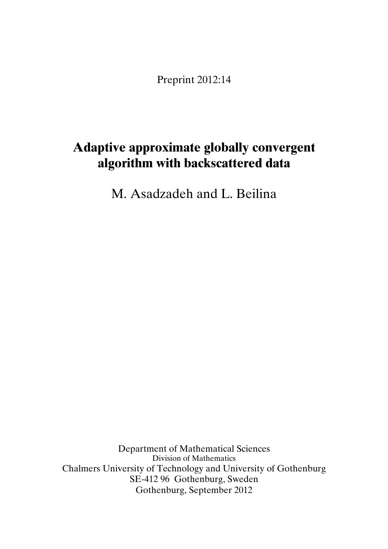Preprint 2012:14

## Adaptive approximate globally convergent algorithm with backscattered data

M. Asadzadeh and L. Beilina

Department of Mathematical Sciences Division of Mathematics Chalmers University of Technology and University of Gothenburg SE-412 96 Gothenburg, Sweden Gothenburg, September 2012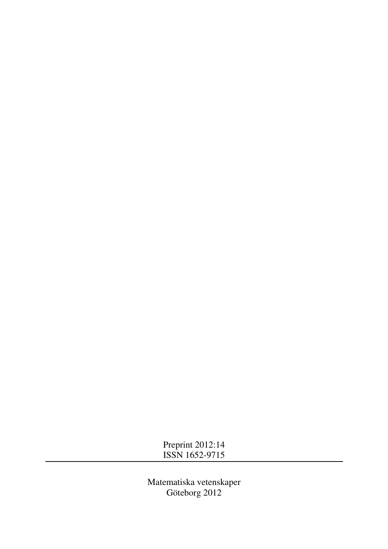Preprint 2012:14 ISSN 1652-9715

Matematiska vetenskaper Göteborg 2012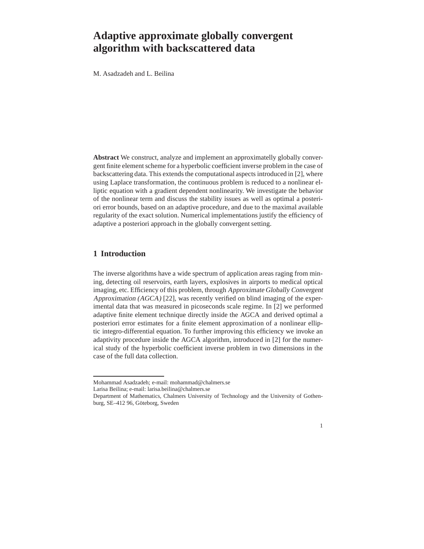### **Adaptive approximate globally convergent algorithm with backscattered data**

M. Asadzadeh and L. Beilina

**Abstract** We construct, analyze and implement an approximatelly globally convergent finite element scheme for a hyperbolic coefficient inverse problem in the case of backscattering data. This extends the computational aspects introduced in [2], where using Laplace transformation, the continuous problem is reduced to a nonlinear elliptic equation with a gradient dependent nonlinearity. We investigate the behavior of the nonlinear term and discuss the stability issues as well as optimal a posteriori error bounds, based on an adaptive procedure, and due to the maximal available regularity of the exact solution. Numerical implementations justify the efficiency of adaptive a posteriori approach in the globally convergent setting.

#### **1 Introduction**

The inverse algorithms have a wide spectrum of application areas raging from mining, detecting oil reservoirs, earth layers, explosives in airports to medical optical imaging, etc. Efficiency of this problem, through Approximate Globally Convergent Approximation (AGCA) [22], was recently verified on blind imaging of the experimental data that was measured in picoseconds scale regime. In [2] we performed adaptive finite element technique directly inside the AGCA and derived optimal a posteriori error estimates for a finite element approximation of a nonlinear elliptic integro-differential equation. To further improving this efficiency we invoke an adaptivity procedure inside the AGCA algorithm, introduced in [2] for the numerical study of the hyperbolic coefficient inverse problem in two dimensions in the case of the full data collection.

Mohammad Asadzadeh; e-mail: mohammad@chalmers.se

Larisa Beilina; e-mail: larisa.beilina@chalmers.se

Department of Mathematics, Chalmers University of Technology and the University of Gothenburg, SE-412 96, Göteborg, Sweden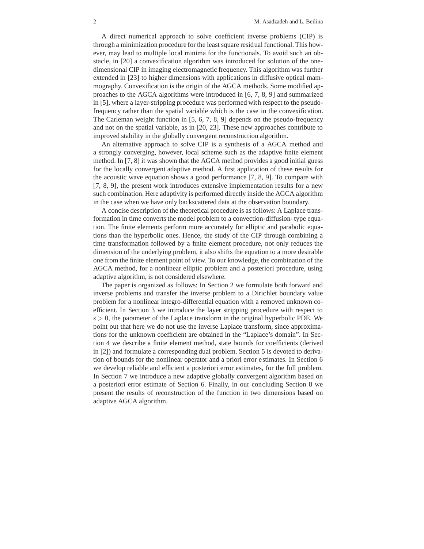A direct numerical approach to solve coefficient inverse problems (CIP) is through a minimization procedure for the least square residual functional. This however, may lead to multiple local minima for the functionals. To avoid such an obstacle, in [20] a convexification algorithm was introduced for solution of the onedimensional CIP in imaging electromagnetic frequency. This algorithm was further extended in [23] to higher dimensions with applications in diffusive optical mammography. Convexification is the origin of the AGCA methods. Some modified approaches to the AGCA algorithms were introduced in [6, 7, 8, 9] and summarized in [5], where a layer-stripping procedure was performed with respect to the pseudofrequency rather than the spatial variable which is the case in the convexification. The Carleman weight function in [5, 6, 7, 8, 9] depends on the pseudo-frequency and not on the spatial variable, as in [20, 23]. These new approaches contribute to improved stability in the globally convergent reconstruction algorithm.

An alternative approach to solve CIP is a synthesis of a AGCA method and a strongly converging, however, local scheme such as the adaptive finite element method. In [7, 8] it was shown that the AGCA method provides a good initial guess for the locally convergent adaptive method. A first application of these results for the acoustic wave equation shows a good performance [7, 8, 9]. To compare with [7, 8, 9], the present work introduces extensive implementation results for a new such combination. Here adaptivity is performed directly inside the AGCA algorithm in the case when we have only backscattered data at the observation boundary.

A concise description of the theoretical procedure is as follows: A Laplace transformation in time converts the model problem to a convection-diffusion- type equation. The finite elements perform more accurately for elliptic and parabolic equations than the hyperbolic ones. Hence, the study of the CIP through combining a time transformation followed by a finite element procedure, not only reduces the dimension of the underlying problem, it also shifts the equation to a more desirable one from the finite element point of view. To our knowledge, the combination of the AGCA method, for a nonlinear elliptic problem and a posteriori procedure, using adaptive algorithm, is not considered elsewhere.

The paper is organized as follows: In Section 2 we formulate both forward and inverse problems and transfer the inverse problem to a Dirichlet boundary value problem for a nonlinear integro-differential equation with a removed unknown coefficient. In Section 3 we introduce the layer stripping procedure with respect to  $s > 0$ , the parameter of the Laplace transform in the original hyperbolic PDE. We point out that here we do not use the inverse Laplace transform, since approximations for the unknown coefficient are obtained in the "Laplace's domain". In Section 4 we describe a finite element method, state bounds for coefficients (derived in [2]) and formulate a corresponding dual problem. Section 5 is devoted to derivation of bounds for the nonlinear operator and a priori error estimates. In Section 6 we develop reliable and efficient a posteriori error estimates, for the full problem. In Section 7 we introduce a new adaptive globally convergent algorithm based on a posteriori error estimate of Section 6. Finally, in our concluding Section 8 we present the results of reconstruction of the function in two dimensions based on adaptive AGCA algorithm.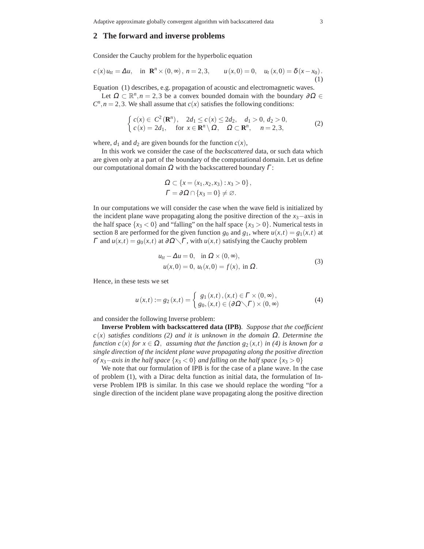#### **2 The forward and inverse problems**

Consider the Cauchy problem for the hyperbolic equation

$$
c(x)u_{tt} = \Delta u
$$
, in  $\mathbb{R}^n \times (0, \infty)$ ,  $n = 2, 3$ ,  $u(x, 0) = 0$ ,  $u_t(x, 0) = \delta(x - x_0)$ . (1)

Equation (1) describes, e.g. propagation of acoustic and electromagnetic waves.

Let  $\Omega \subset \mathbb{R}^n, n = 2, 3$  be a convex bounded domain with the boundary  $\partial \Omega \in$  $C<sup>n</sup>$ ,  $n = 2,3$ . We shall assume that *c*(*x*) satisfies the following conditions:

$$
\begin{cases} c(x) \in C^2(\mathbf{R}^n), & 2d_1 \le c(x) \le 2d_2, & d_1 > 0, d_2 > 0, \\ c(x) = 2d_1, & \text{for } x \in \mathbf{R}^n \setminus \Omega, & \Omega \subset \mathbf{R}^n, & n = 2, 3, \end{cases}
$$
 (2)

where,  $d_1$  and  $d_2$  are given bounds for the function  $c(x)$ ,

In this work we consider the case of the *backscattered* data, or such data which are given only at a part of the boundary of the computational domain. Let us define our computational domain  $Ω$  with the backscattered boundary  $Γ$ :

$$
\Omega \subset \{x = (x_1, x_2, x_3) : x_3 > 0\},\
$$
  

$$
\Gamma = \partial \Omega \cap \{x_3 = 0\} \neq \emptyset.
$$

In our computations we will consider the case when the wave field is initialized by the incident plane wave propagating along the positive direction of the  $x_3$ −axis in the half space  $\{x_3 < 0\}$  and "falling" on the half space  $\{x_3 > 0\}$ . Numerical tests in section 8 are performed for the given function  $g_0$  and  $g_1$ , where  $u(x,t) = g_1(x,t)$  at  $Γ$  and  $u(x,t) = g_0(x,t)$  at  $∂Ω\sqrt{Γ}$ , with  $u(x,t)$  satisfying the Cauchy problem

$$
u_{tt} - \Delta u = 0, \text{ in } \Omega \times (0, \infty), u(x, 0) = 0, u_t(x, 0) = f(x), \text{ in } \Omega.
$$
 (3)

Hence, in these tests we set

$$
u(x,t) := g_2(x,t) = \begin{cases} g_1(x,t), (x,t) \in \Gamma \times (0,\infty), \\ g_0, (x,t) \in (\partial \Omega \setminus \Gamma) \times (0,\infty) \end{cases}
$$
 (4)

and consider the following Inverse problem:

**Inverse Problem with backscattered data (IPB)**. *Suppose that the coefficient c*(*x*) *satisfies conditions (2) and it is unknown in the domain* <sup>Ω</sup>*. Determine the function c*(*x*) *for*  $x \in \Omega$ , *assuming that the function g<sub>2</sub>(<i>x,t) in* (4) *is known for a single direction of the incident plane wave propagating along the positive direction of*  $x_3$ −*axis in the half space*  $\{x_3 < 0\}$  *and falling on the half space*  $\{x_3 > 0\}$ 

We note that our formulation of IPB is for the case of a plane wave. In the case of problem (1), with a Dirac delta function as initial data, the formulation of Inverse Problem IPB is similar. In this case we should replace the wording "for a single direction of the incident plane wave propagating along the positive direction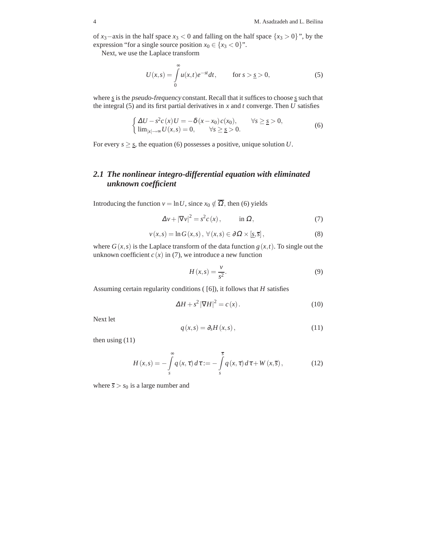of *x*<sub>3</sub>−axis in the half space *x*<sub>3</sub> < 0 and falling on the half space {*x*<sub>3</sub> > 0</sub>}", by the expression "for a single source position  $x_0 \in \{x_3 < 0\}$ ".

Next, we use the Laplace transform

$$
U(x,s) = \int_{0}^{\infty} u(x,t)e^{-st}dt, \qquad \text{for } s > \underline{s} > 0,
$$
 (5)

where *s* is the pseudo-frequency constant. Recall that it suffices to choose *s* such that the integral (5) and its first partial derivatives in *x* and *t* converge. Then *U* satisfies

$$
\begin{cases} \Delta U - s^2 c(x) U = -\delta(x - x_0) c(x_0), & \forall s \ge s > 0, \\ \lim_{|x| \to \infty} U(x, s) = 0, & \forall s \ge s > 0. \end{cases}
$$
(6)

For every  $s \geq s$ , the equation (6) possesses a positive, unique solution *U*.

#### *2.1 The nonlinear integro-differential equation with eliminated unknown coefficient*

Introducing the function  $v = \ln U$ , since  $x_0 \notin \overline{\Omega}$ , then (6) yields

$$
\Delta v + |\nabla v|^2 = s^2 c(x), \qquad \text{in } \Omega,
$$
 (7)

$$
v(x,s) = \ln G(x,s), \ \forall (x,s) \in \partial \Omega \times [\underline{s}, \overline{s}], \tag{8}
$$

where  $G(x, s)$  is the Laplace transform of the data function  $g(x, t)$ . To single out the unknown coefficient  $c(x)$  in (7), we introduce a new function

$$
H(x,s) = \frac{v}{s^2}.\tag{9}
$$

Assuming certain regularity conditions ( [6]), it follows that *H* satisfies

$$
\Delta H + s^2 |\nabla H|^2 = c(x). \tag{10}
$$

Next let

$$
q(x,s) = \partial_s H(x,s),\tag{11}
$$

then using (11)

$$
H(x,s) = -\int_{s}^{\infty} q(x,\tau) d\tau := -\int_{s}^{\overline{s}} q(x,\tau) d\tau + W(x,\overline{s}), \qquad (12)
$$

where  $\bar{s} > s_0$  is a large number and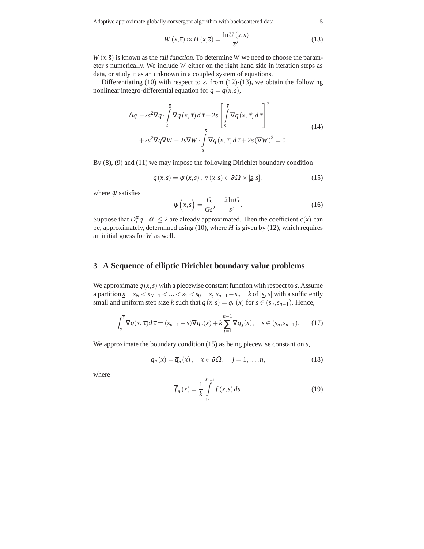Adaptive approximate globally convergent algorithm with backscattered data 5

$$
W(x,\overline{s}) \approx H(x,\overline{s}) = \frac{\ln U(x,\overline{s})}{\overline{s}^2}.
$$
 (13)

 $W(x,\overline{s})$  is known as the *tail function*. To determine *W* we need to choose the parameter *s* numerically. We include *W* either on the right hand side in iteration steps as data, or study it as an unknown in a coupled system of equations.

Differentiating (10) with respect to *s*, from (12)-(13), we obtain the following nonlinear integro-differential equation for  $q = q(x, s)$ ,

$$
\Delta q - 2s^2 \nabla q \cdot \int_s^{\overline{s}} \nabla q(x, \tau) d\tau + 2s \left[ \int_s^{\overline{s}} \nabla q(x, \tau) d\tau \right]^2
$$
  
+2s<sup>2</sup>  $\nabla q \nabla W - 2s \nabla W \cdot \int_s^{\overline{s}} \nabla q(x, \tau) d\tau + 2s (\nabla W)^2 = 0.$  (14)

By (8), (9) and (11) we may impose the following Dirichlet boundary condition

$$
q(x,s) = \psi(x,s), \ \forall (x,s) \in \partial\Omega \times [\underline{s}, \overline{s}]. \tag{15}
$$

where  $\psi$  satisfies

$$
\psi(x,s) = \frac{G_s}{Gs^2} - \frac{2\ln G}{s^3}.
$$
\n(16)

Suppose that  $D_x^{\alpha}q$ ,  $|\alpha| \leq 2$  are already approximated. Then the coefficient *c*(*x*) can be, approximately, determined using (10), where *H* is given by (12), which requires an initial guess for *W* as well.

#### **3 A Sequence of elliptic Dirichlet boundary value problems**

We approximate  $q(x, s)$  with a piecewise constant function with respect to *s*. Assume a partition  $\underline{s} = s_N < s_{N-1} < ... < s_1 < s_0 = \overline{s}, s_{n-1} - s_n = k$  of  $[\underline{s}, \overline{s}]$  with a sufficiently small and uniform step size *k* such that  $q(x, s) = q_n(x)$  for  $s \in (s_n, s_{n-1})$ . Hence,

$$
\int_{s}^{\overline{s}} \nabla q(x, \tau) d\tau = (s_{n-1} - s) \nabla q_n(x) + k \sum_{j=1}^{n-1} \nabla q_j(x), \quad s \in (s_n, s_{n-1}).
$$
 (17)

We approximate the boundary condition (15) as being piecewise constant on *s*,

$$
q_n(x) = \overline{q}_n(x), \quad x \in \partial \Omega, \quad j = 1, \dots, n,
$$
 (18)

where

$$
\overline{f}_n(x) = \frac{1}{k} \int_{s_n}^{s_{n-1}} f(x, s) ds.
$$
 (19)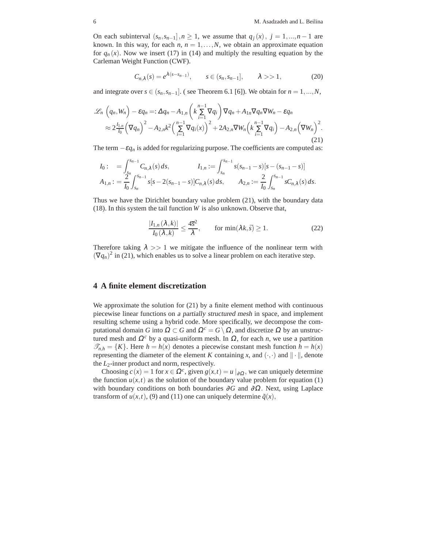On each subinterval  $(s_n, s_{n-1}], n \ge 1$ , we assume that  $q_j(x), j = 1, ..., n-1$  are known. In this way, for each  $n, n = 1,...,N$ , we obtain an approximate equation for  $q_n(x)$ . Now we insert (17) in (14) and multiply the resulting equation by the Carleman Weight Function (CWF).

$$
C_{n,\lambda}(s) = e^{\lambda(s - s_{n-1})}, \qquad s \in (s_n, s_{n-1}], \qquad \lambda > 1,
$$
 (20)

and integrate over  $s \in (s_n, s_{n-1}]$ . (see Theorem 6.1 [6]). We obtain for  $n = 1, ..., N$ ,

$$
\mathcal{L}_n\left(q_n, W_n\right) - \varepsilon q_n =: \Delta q_n - A_{1,n}\left(k\sum_{i=1}^{n-1} \nabla q_i\right) \nabla q_n + A_{1,n} \nabla q_n \nabla W_n - \varepsilon q_n
$$
  
\n
$$
\approx 2\frac{I_{1,n}}{I_0} \left(\nabla q_n\right)^2 - A_{2,n} k^2 \left(\sum_{i=1}^{n-1} \nabla q_i(x)\right)^2 + 2A_{2,n} \nabla W_n \left(k\sum_{i=1}^{n-1} \nabla q_i\right) - A_{2,n} \left(\nabla W_n\right)^2.
$$
\n(21)

The term  $-\varepsilon q_n$  is added for regularizing purpose. The coefficients are computed as:

$$
I_0: = \int_{s_n}^{s_{n-1}} C_{n,\lambda}(s) ds, \qquad I_{1,n} := \int_{s_n}^{s_{n-1}} s(s_{n-1} - s)[s - (s_{n-1} - s)]
$$
  

$$
A_{1,n} := \frac{2}{I_0} \int_{s_n}^{s_{n-1}} s[s - 2(s_{n-1} - s)] C_{n,\lambda}(s) ds, \qquad A_{2,n} := \frac{2}{I_0} \int_{s_n}^{s_{n-1}} s C_{n,\lambda}(s) ds.
$$

Thus we have the Dirichlet boundary value problem (21), with the boundary data (18). In this system the tail function *W* is also unknown. Observe that,

$$
\frac{|I_{1,n}(\lambda,k)|}{I_0(\lambda,k)} \le \frac{4\overline{s}^2}{\lambda}, \qquad \text{for min}(\lambda k,\overline{s}) \ge 1.
$$
 (22)

Therefore taking  $\lambda >> 1$  we mitigate the influence of the nonlinear term with  $(\nabla q_n)^2$  in (21), which enables us to solve a linear problem on each iterative step.

#### **4 A finite element discretization**

We approximate the solution for  $(21)$  by a finite element method with continuous piecewise linear functions on <sup>a</sup> partially structured mesh in space, and implement resulting scheme using a hybrid code. More specifically, we decompose the computational domain *G* into  $\Omega \subset G$  and  $\Omega^c = G \setminus \Omega$ , and discretize  $\Omega$  by an unstructured mesh and  $\Omega^c$  by a quasi-uniform mesh. In  $\Omega$ , for each *n*, we use a partition  $\mathcal{T}_{n,h} = \{K\}$ . Here  $h = h(x)$  denotes a piecewise constant mesh function  $h = h(x)$ representing the diameter of the element *K* containing *x*, and  $(\cdot, \cdot)$  and  $\|\cdot\|$ , denote the *L*2-inner product and norm, respectively.

Choosing  $c(x) = 1$  for  $x \in \Omega^c$ , given  $g(x,t) = u |_{\partial \Omega}$ , we can uniquely determine the function  $u(x,t)$  as the solution of the boundary value problem for equation (1) with boundary conditions on both boundaries ∂*G* and ∂Ω. Next, using Laplace transform of  $u(x,t)$ , (9) and (11) one can uniquely determine  $\tilde{q}(x)$ ,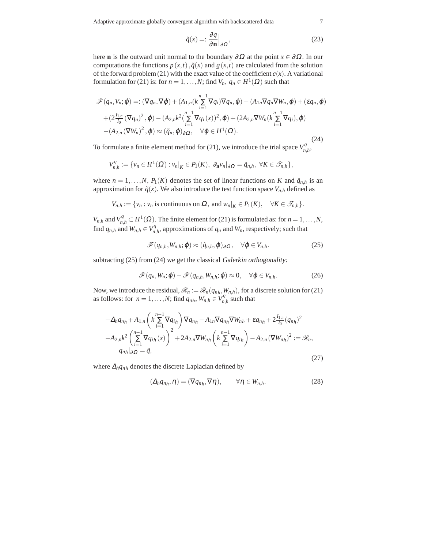Adaptive approximate globally convergent algorithm with backscattered data 7

$$
\tilde{q}(x) = \frac{\partial q}{\partial \mathbf{n}} \Big|_{\partial \Omega},\tag{23}
$$

here **n** is the outward unit normal to the boundary  $\partial \Omega$  at the point  $x \in \partial \Omega$ . In our computations the functions  $p(x,t)$ ,  $\tilde{q}(x)$  and  $g(x,t)$  are calculated from the solution of the forward problem (21) with the exact value of the coefficient  $c(x)$ . A variational formulation for (21) is: for  $n = 1, ..., N$ ; find  $V_n$ ,  $q_n \in H^1(\Omega)$  such that

$$
\mathscr{F}(q_n, V_n; \varphi) =: (\nabla q_n, \nabla \varphi) + (A_{1,n}(k \sum_{i=1}^{n-1} \nabla q_i) \nabla q_n, \varphi) - (A_{1n} \nabla q_n \nabla W_n, \varphi) + (\varepsilon q_n, \varphi)
$$
  
+ 
$$
(2 \frac{I_{1,n}}{I_0} (\nabla q_n)^2, \varphi) - (A_{2,n} k^2 (\sum_{i=1}^{n-1} \nabla q_i(x))^2, \varphi) + (2A_{2,n} \nabla W_n(k \sum_{i=1}^{n-1} \nabla q_i), \varphi)
$$
  
- 
$$
(A_{2,n} (\nabla W_n)^2, \varphi) \approx (\tilde{q}_n, \varphi)_{\partial \Omega}, \quad \forall \varphi \in H^1(\Omega).
$$
 (24)

To formulate a finite element method for (21), we introduce the trial space  $V_n^q$ *n*,*h* ,

$$
V_{n,h}^q := \{ v_n \in H^1(\Omega) : v_n|_K \in P_1(K), \ \partial_{\mathbf{n}} v_n|_{\partial \Omega} = \tilde{q}_{n,h}, \ \forall K \in \mathscr{T}_{n,h} \},
$$

where  $n = 1, ..., N$ ,  $P_1(K)$  denotes the set of linear functions on *K* and  $\tilde{q}_{n,h}$  is an approximation for  $\tilde{q}(x)$ . We also introduce the test function space  $V_{n,h}$  defined as

$$
V_{n,h} := \{v_n : v_n \text{ is continuous on } \Omega, \text{ and } w_n|_K \in P_1(K), \quad \forall K \in \mathcal{T}_{n,h}\}.
$$

*V*<sub>*n*,*h*</sub> and *V*<sub>*n*</sub><sub>*n*</sub>  $\subset$  *H*<sup>1</sup>( $\Omega$ ). The finite element for (21) is formulated as: for *n* = 1,...,*N*, find  $q_{n,h}$  and  $W_{n,h} \in V_n^q$  $n_{n,h}^q$ , approximations of  $q_n$  and  $W_n$ , respectively; such that

$$
\mathscr{F}(q_{n,h}, W_{n,h}; \boldsymbol{\varphi}) \approx (\tilde{q}_{n,h}, \boldsymbol{\varphi})_{\partial \Omega}, \quad \forall \boldsymbol{\varphi} \in V_{n,h}.
$$
 (25)

subtracting (25) from (24) we get the classical Galerkin orthogonality:

$$
\mathscr{F}(q_n, W_n; \boldsymbol{\varphi}) - \mathscr{F}(q_{n,h}, W_{n,h}; \boldsymbol{\varphi}) \approx 0, \quad \forall \boldsymbol{\varphi} \in V_{n,h}.
$$
 (26)

Now, we introduce the residual,  $\mathcal{R}_n := \mathcal{R}_n(q_{n_h}, W_{n,h})$ , for a discrete solution for (21) as follows: for  $n = 1, ..., N$ ; find  $q_{n_h}$ ,  $W_{n,h} \in V_n^q$  $n_{n,h}^q$  such that

$$
- \Delta_h q_{n} + A_{1,n} \left( k \sum_{i=1}^{n-1} \nabla q_{ih} \right) \nabla q_{n} - A_{1n} \nabla q_{n} \nabla W_{n} + \varepsilon q_{n} + 2 \frac{I_{1,n}}{I_0} (q_{n})^2
$$
  

$$
- A_{2,n} k^2 \left( \sum_{i=1}^{n-1} \nabla q_{ih}(x) \right)^2 + 2 A_{2,n} \nabla W_{n} \left( k \sum_{i=1}^{n-1} \nabla q_{ih} \right) - A_{2,n} (\nabla W_{n})^2 := \mathcal{R}_n,
$$
  

$$
q_{n} \Big|_{\partial \Omega} = \tilde{q},
$$
 (27)

where <sup>∆</sup>*hqnh* denotes the discrete Laplacian defined by

$$
(\Delta_h q_{nh}, \eta) = (\nabla q_{nh}, \nabla \eta), \qquad \forall \eta \in W_{n,h}.
$$
 (28)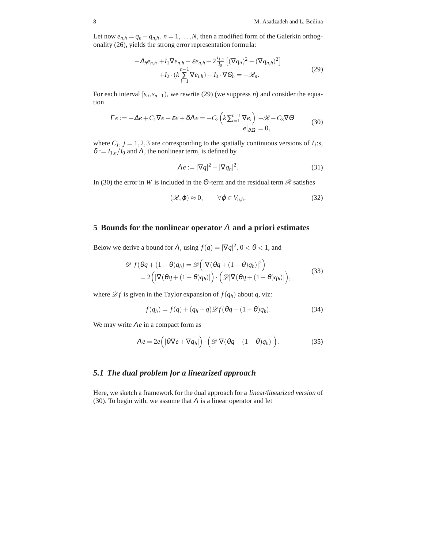Let now  $e_{n,h} = q_n - q_{n,h}, n = 1, \ldots, N$ , then a modified form of the Galerkin orthogonality (26), yields the strong error representation formula:

$$
-\Delta_h e_{n,h} + I_1 \nabla e_{n,h} + \varepsilon e_{n,h} + 2 \frac{I_{1,n}}{I_0} \left[ (\nabla q_n)^2 - (\nabla q_{n,h})^2 \right] + I_2 \cdot (k \sum_{i=1}^{n-1} \nabla e_{i,h}) + I_3 \cdot \nabla \Theta_n = -\mathcal{R}_n.
$$
 (29)

For each interval  $[s_n, s_{n-1})$ , we rewrite (29) (we suppress *n*) and consider the equation

$$
\Gamma e := -\Delta e + C_1 \nabla e + \varepsilon e + \delta \Lambda e = -C_2 \left( k \sum_{i=1}^{n-1} \nabla e_i \right) - \mathcal{R} - C_3 \nabla \Theta
$$
\n(30)

where  $C_j$ ,  $j = 1, 2, 3$  are corresponding to the spatially continuous versions of  $I_j$ :s,  $\delta := I_{1,n}/I_0$  and  $\Lambda$ , the nonlinear term, is defined by

$$
\Lambda e := |\nabla q|^2 - |\nabla q_h|^2. \tag{31}
$$

In (30) the error in *W* is included in the  $\Theta$ -term and the residual term  $\mathscr R$  satisfies

$$
(\mathcal{R}, \varphi) \approx 0, \qquad \forall \varphi \in V_{n,h}.
$$
 (32)

#### **5 Bounds for the nonlinear operator** <sup>Λ</sup> **and a priori estimates**

Below we derive a bound for  $\Lambda$ , using  $f(q) = |\nabla q|^2$ ,  $0 < \theta < 1$ , and

$$
\mathscr{D} f(\theta q + (1 - \theta)q_h) = \mathscr{D} \Big( |\nabla(\theta q + (1 - \theta)q_h)|^2 \Big) \n= 2\Big( |\nabla(\theta q + (1 - \theta)q_h)| \Big) \cdot \Big( \mathscr{D} |\nabla(\theta q + (1 - \theta)q_h)| \Big),
$$
\n(33)

where  $\mathscr{D}f$  is given in the Taylor expansion of  $f(q_h)$  about  $q$ , viz:

$$
f(q_h) = f(q) + (q_h - q)\mathcal{D}f(\theta q + (1 - \theta)q_h).
$$
 (34)

We may write  $\Lambda e$  in a compact form as

$$
\Lambda e = 2e \Big( |\theta \nabla e + \nabla q_h| \Big) \cdot \Big( \mathcal{D} |\nabla (\theta q + (1 - \theta) q_h)| \Big). \tag{35}
$$

#### *5.1 The dual problem for a linearized approach*

Here, we sketch a framework for the dual approach for a linear/linearized version of (30). To begin with, we assume that  $\Lambda$  is a linear operator and let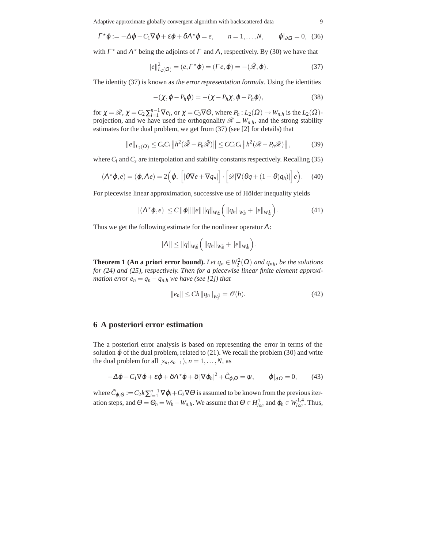Adaptive approximate globally convergent algorithm with backscattered data 9

$$
\Gamma^{\star}\varphi := -\Delta\varphi - C_1\nabla\varphi + \varepsilon\varphi + \delta\Lambda^{\star}\varphi = e, \qquad n = 1,\dots,N, \qquad \varphi|_{\partial\Omega} = 0, \tag{36}
$$

with  $\Gamma^*$  and  $\Lambda^*$  being the adjoints of  $\Gamma$  and  $\Lambda$ , respectively. By (30) we have that

$$
||e||_{L_2(\Omega)}^2 = (e, \Gamma^* \varphi) = (\Gamma e, \varphi) = -(\tilde{\mathcal{R}}, \varphi).
$$
 (37)

The identity (37) is known as the error representation formula. Using the identities

$$
-(\chi, \varphi - P_h \varphi) = -(\chi - P_h \chi, \varphi - P_h \varphi), \qquad (38)
$$

for  $\chi = \mathcal{R}$ ,  $\chi = C_2 \sum_{i=1}^{n-1} \nabla e_i$ , or  $\chi = C_3 \nabla \Theta$ , where  $P_h: L_2(\Omega) \to W_{n,h}$  is the  $L_2(\Omega)$ projection, and we have used the orthogonality  $\mathcal{R} \perp W_{n,h}$ , and the strong stability estimates for the dual problem, we get from (37) (see [2] for details) that

$$
||e||_{L_2(\Omega)} \leq C_s C_i ||h^2(\tilde{\mathcal{R}} - P_h \tilde{\mathcal{R}})|| \leq C C_s C_i ||h^2(\mathcal{R} - P_h \mathcal{R})||,
$$
 (39)

where  $C_i$  and  $C_s$  are interpolation and stability constants respectively. Recalling (35)

$$
(\Lambda^{\star}\varphi,e) = (\varphi, \Lambda e) = 2\Big(\varphi, \Big[|\theta\nabla e + \nabla q_n|\Big] \cdot \Big[\mathscr{D}|\nabla(\theta q + (1-\theta)q_n)|\Big]e\Big). \tag{40}
$$

For piecewise linear approximation, successive use of Hölder inequality yields

$$
|(\Lambda^{\star}\varphi,e)| \leq C \|\varphi\| \|e\| \|q\|_{W_{\infty}^2} \Big( \|q_h\|_{W_{\infty}^1} + \|e\|_{W_{\infty}^1} \Big). \tag{41}
$$

Thus we get the following estimate for the nonlinear operator  $\Lambda$ :

$$
||\Lambda|| \leq ||q||_{W^{2}_{\infty}} \left( ||q_{h}||_{W^{1}_{\infty}} + ||e||_{W^{1}_{\infty}} \right)
$$

**Theorem 1 (An a priori error bound).** *Let*  $q_n \in W_2^2(\Omega)$  *and*  $q_{n}$ *, be the solutions for (24) and (25), respectively. Then for a piecewise linear finite element approximation error*  $e_n = q_n - q_{n,h}$  *we have (see [2]) that* 

$$
||e_n|| \le Ch ||q_n||_{W_2^2} = \mathcal{O}(h).
$$
 (42)

.

#### **6 A posteriori error estimation**

The a posteriori error analysis is based on representing the error in terms of the solution  $\varphi$  of the dual problem, related to (21). We recall the problem (30) and write the dual problem for all  $[s_n, s_{n-1}), n = 1, \ldots, N$ , as

$$
-\Delta \varphi - C_1 \nabla \varphi + \varepsilon \varphi + \delta \Lambda^* \varphi + \delta |\nabla \varphi_h|^2 + \tilde{C}_{\varphi, \Theta} = \psi, \qquad \varphi|_{\partial \Omega} = 0, \qquad (43)
$$

where  $\tilde{C}_{\varphi,\Theta} := C_2 k \sum_{i=1}^{n-1} \nabla \varphi_i + C_3 \nabla \Theta$  is assumed to be known from the previous iteration steps, and  $\Theta = \Theta_n = W_h - W_{n,h}$ . We assume that  $\Theta \in H^1_{loc}$  and  $\varphi_h \in W^{1,4}_{loc}$ . Thus,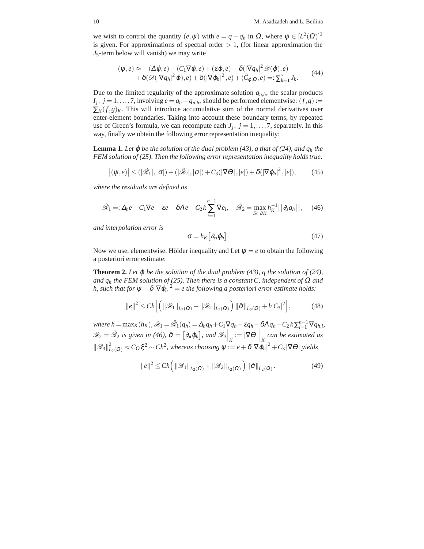we wish to control the quantity  $(e, \psi)$  with  $e = q - q_h$  in  $\Omega$ , where  $\psi \in [L^2(\Omega)]^3$ is given. For approximations of spectral order  $> 1$ , (for linear approximation the *J*5-term below will vanish) we may write

$$
(\psi, e) \approx -(\Delta \varphi, e) - (C_1 \nabla \varphi, e) + (\varepsilon \varphi, e) - \delta (|\nabla q_h|^2 \mathscr{D}(\varphi), e) + \delta(\mathscr{D}(|\nabla q_h|^2 \varphi), e) + \delta(|\nabla \varphi_h|^2, e) + (\tilde{C}_{\varphi, \Theta}, e) =: \sum_{k=1}^7 J_k.
$$
 (44)

Due to the limited regularity of the approximate solution  $q_{n,h}$ , the scalar products  $I_j$ ,  $j = 1, \ldots, 7$ , involving  $e = q_n - q_{n,h}$ , should be performed elementwise:  $(f, g) :=$  $\sum_K (f,g)_K$ . This will introduce accumulative sum of the normal derivatives over enter-element boundaries. Taking into account these boundary terms, by repeated use of Green's formula, we can recompute each  $J_j$ ,  $j = 1, \ldots, 7$ , separately. In this way, finally we obtain the following error representation inequality:

**Lemma 1.** Let  $\varphi$  be the solution of the dual problem (43),  $q$  that of (24), and  $q_h$  the *FEM solution of (25). Then the following error representation inequality holds true:*

$$
\left|(\psi,e)\right| \leq (|\tilde{\mathscr{R}}_1|,|\sigma|) + (|\tilde{\mathscr{R}}_2|,|\sigma|) + C_3(|\nabla\Theta|,|e|) + \delta(|\nabla\varphi_h|^2,|e|),\tag{45}
$$

*where the residuals are defined as*

$$
\tilde{\mathcal{R}}_1 =: \Delta_h e - C_1 \nabla e - \varepsilon e - \delta \Lambda e - C_2 k \sum_{i=1}^{n-1} \nabla e_i, \quad \tilde{\mathcal{R}}_2 = \max_{S \subset \partial K} h_K^{-1} | [\partial_s q_h]|, \quad (46)
$$

*and interpolation error is*

$$
\sigma = h_K \big[ \partial_{\mathbf{n}} \varphi_h \big]. \tag{47}
$$

Now we use, elementwise, Hölder inequality and Let  $\psi = e$  to obtain the following a posteriori error estimate:

**Theorem 2.** Let  $\varphi$  be the solution of the dual problem (43), q the solution of (24), *and*  $q_h$  *the FEM solution of (25). Then there is a constant C, independent of*  $\Omega$  *and h, such that for*  $\psi - \delta |\nabla \varphi_h|^2 = e$  the following a posteriori error estimate holds:

$$
||e||^2 \le Ch \Big[ \Big( ||\mathcal{R}_1||_{L_2(\Omega)} + ||\mathcal{R}_2||_{L_2(\Omega)} \Big) ||\tilde{\sigma}||_{L_2(\Omega)} + h|C_3|^2 \Big],
$$
 (48)

where  $h = \max_K(h_K)$ ,  $\mathscr{R}_1 = \tilde{\mathscr{R}}_1(q_h) = \Delta_h q_h + C_1 \nabla q_h - \varepsilon q_h - \delta \Lambda q_h - C_2 k \sum_{i=1}^{n-1} \nabla q_{h,i}$ ,  $\mathscr{R}_2 = \tilde{\mathscr{R}}_2$  is given in (46),  $\tilde{\sigma} = [\partial_{\mathbf{n}} \varphi_h]$ , and  $\mathscr{R}_3\Big|_K := |\nabla \Theta| \Big|_K$  can be estimated as  $\|\mathscr{R}_{3}\|_{L_2(\Omega)}^2 \approx C_{\Omega} \xi^2 \sim Ch^2$ , whereas choosing  $\psi := e + \delta |\nabla \varphi_h|^2 + C_3 |\nabla \Theta|$  yields

$$
||e||^2 \le Ch\left(||\mathcal{R}_1||_{L_2(\Omega)} + ||\mathcal{R}_2||_{L_2(\Omega)}\right) ||\tilde{\sigma}||_{L_2(\Omega)}.
$$
\n(49)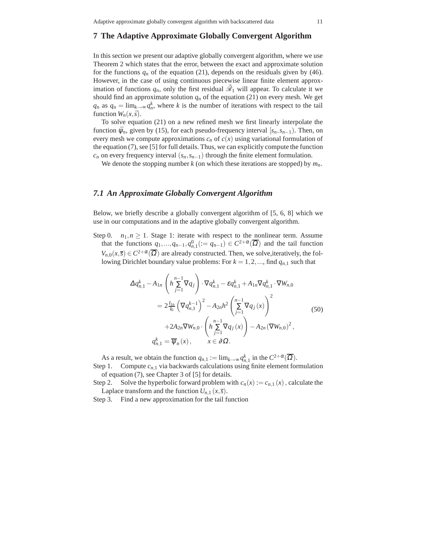#### **7 The Adaptive Approximate Globally Convergent Algorithm**

In this section we present our adaptive globally convergent algorithm, where we use Theorem 2 which states that the error, between the exact and approximate solution for the functions  $q_n$  of the equation (21), depends on the residuals given by (46). However, in the case of using continuous piecewise linear finite element approximation of functions  $q_n$ , only the first residual  $\tilde{\mathcal{R}}_1$  will appear. To calculate it we should find an approximate solution  $q_n$  of the equation (21) on every mesh. We get  $q_n$  as  $q_n = \lim_{k \to \infty} q_n^k$ , where *k* is the number of iterations with respect to the tail function  $W_n(x, \bar{s})$ .

To solve equation (21) on a new refined mesh we first linearly interpolate the function  $\bar{\psi}_n$ , given by (15), for each pseudo-frequency interval  $[s_n, s_{n-1})$ . Then, on every mesh we compute approximations  $c_n$  of  $c(x)$  using variational formulation of the equation (7), see [5] for full details. Thus, we can explicitly compute the function  $c_n$  on every frequency interval  $(s_n, s_{n-1})$  through the finite element formulation.

We denote the stopping number  $k$  (on which these iterations are stopped) by  $m_n$ .

#### *7.1 An Approximate Globally Convergent Algorithm*

Below, we briefly describe a globally convergent algorithm of [5, 6, 8] which we use in our computations and in the adaptive globally convergent algorithm.

Step 0.  $n_1, n \geq 1$ . Stage 1: iterate with respect to the nonlinear term. Assume that the functions  $q_1, ..., q_{n-1}, q_{n,1}^0 := q_{n-1} \in C^{2+\alpha}(\overline{\Omega})$  and the tail function  $V_{n,0}(x,\overline{s}) \in C^{2+\alpha}(\overline{\Omega})$  are already constructed. Then, we solve, iteratively, the following Dirichlet boundary value problems: For  $k = 1, 2, \dots$ , find  $q_{n,1}$  such that

$$
\Delta q_{n,1}^{k} - A_{1n} \left( h \sum_{j=1}^{n-1} \nabla q_{j} \right) \cdot \nabla q_{n,1}^{k} - \varepsilon q_{n,1}^{k} + A_{1n} \nabla q_{n,1}^{k} \cdot \nabla W_{n,0}
$$
\n
$$
= 2 \frac{I_{1n}}{I_{0}} \left( \nabla q_{n,1}^{k-1} \right)^{2} - A_{2n} h^{2} \left( \sum_{j=1}^{n-1} \nabla q_{j}(x) \right)^{2}
$$
\n
$$
+ 2A_{2n} \nabla W_{n,0} \cdot \left( h \sum_{j=1}^{n-1} \nabla q_{j}(x) \right) - A_{2n} (\nabla W_{n,0})^{2},
$$
\n
$$
q_{n,1}^{k} = \overline{\psi}_{n}(x), \qquad x \in \partial \Omega.
$$
\n(50)

As a result, we obtain the function  $q_{n,1} := \lim_{k \to \infty} q_{n,1}^k$  in the  $C^{2+\alpha}(\overline{\Omega})$ . Step 1. Compute  $c_{n,1}$  via backwards calculations using finite element formulation

of equation (7), see Chapter 3 of [5] for details.

Step 2. Solve the hyperbolic forward problem with  $c_n(x) := c_{n,1}(x)$ , calculate the Laplace transform and the function  $U_{n,1}(x,\overline{s})$ .

Step 3. Find a new approximation for the tail function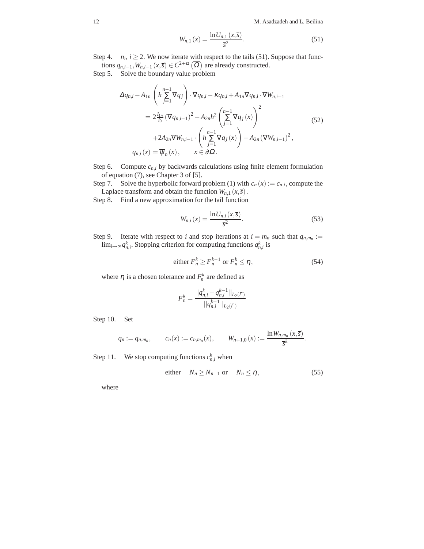12 M. Asadzadeh and L. Beilina

$$
W_{n,1}(x) = \frac{\ln U_{n,1}(x,\overline{s})}{\overline{s}^2}.
$$
 (51)

Step 4. *n<sub>i</sub>*,  $i \ge 2$ . We now iterate with respect to the tails (51). Suppose that functions  $q_{n,i-1}, W_{n,i-1}$   $(x,\overline{s}) \in C^{2+\alpha}(\overline{\Omega})$  are already constructed.

Step 5. Solve the boundary value problem

$$
\Delta q_{n,i} - A_{1n} \left( h \sum_{j=1}^{n-1} \nabla q_j \right) \cdot \nabla q_{n,i} - \kappa q_{n,i} + A_{1n} \nabla q_{n,i} \cdot \nabla W_{n,i-1}
$$
\n
$$
= 2 \frac{I_{1n}}{I_0} \left( \nabla q_{n,i-1} \right)^2 - A_{2n} h^2 \left( \sum_{j=1}^{n-1} \nabla q_j(x) \right)^2 + 2A_{2n} \nabla W_{n,i-1} \cdot \left( h \sum_{j=1}^{n-1} \nabla q_j(x) \right) - A_{2n} \left( \nabla W_{n,i-1} \right)^2,
$$
\n
$$
q_{n,i}(x) = \overline{\psi}_n(x), \qquad x \in \partial \Omega.
$$
\n(52)

Step 6. Compute  $c_{n,i}$  by backwards calculations using finite element formulation of equation (7), see Chapter 3 of [5].

Step 7. Solve the hyperbolic forward problem (1) with  $c_n(x) := c_{n,i}$ , compute the Laplace transform and obtain the function  $W_{n,1}(x,\overline{s})$ .

Step 8. Find a new approximation for the tail function

$$
W_{n,i}(x) = \frac{\ln U_{n,i}(x,\overline{s})}{\overline{s}^2}.
$$
\n(53)

Step 9. Iterate with respect to *i* and stop iterations at  $i = m_n$  such that  $q_{n,m_n} :=$ lim<sub>*i*→∞</sub>  $q_{n,i}^k$ . Stopping criterion for computing functions  $q_{n,i}^k$  is

either 
$$
F_n^k \ge F_n^{k-1}
$$
 or  $F_n^k \le \eta$ , (54)

where  $\eta$  is a chosen tolerance and  $F_n^k$  are defined as

$$
F_n^k = \frac{||q_{n,i}^k - q_{n,i}^{k-1}||_{L_2(\Gamma)}}{||q_{n,i}^{k-1}||_{L_2(\Gamma)}}
$$

Step 10. Set

$$
q_n := q_{n,m_n},
$$
  $c_n(x) := c_{n,m_n}(x),$   $W_{n+1,0}(x) := \frac{\ln W_{n,m_n}(x,\overline{s})}{\overline{s}^2}.$ 

Step 11. We stop computing functions  $c_{n,i}^k$  when

either 
$$
N_n \ge N_{n-1}
$$
 or  $N_n \le \eta$ , (55)

where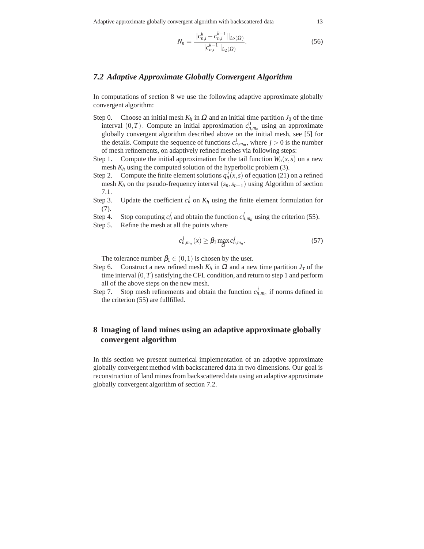$$
N_n = \frac{||c_{n,i}^k - c_{n,i}^{k-1}||_{L_2(\Omega)}}{||c_{n,i}^{k-1}||_{L_2(\Omega)}}.
$$
\n(56)

#### *7.2 Adaptive Approximate Globally Convergent Algorithm*

In computations of section 8 we use the following adaptive approximate globally convergent algorithm:

- Step 0. Choose an initial mesh  $K_h$  in  $\Omega$  and an initial time partition  $J_0$  of the time interval  $(0, T)$ . Compute an initial approximation  $c_{n,m_n}^0$  using an approximate globally convergent algorithm described above on the initial mesh, see [5] for the details. Compute the sequence of functions  $c_{n,m_m}^j$ , where  $j > 0$  is the number of mesh refinements, on adaptively refined meshes via following steps:
- Step 1. Compute the initial approximation for the tail function  $W_n(x, \bar{s})$  on a new mesh *K<sup>h</sup>* using the computed solution of the hyperbolic problem (3).
- Step 2. Compute the finite element solutions  $q_n^j(x, s)$  of equation (21) on a refined mesh  $K_h$  on the pseudo-frequency interval  $(s_n, s_{n-1})$  using Algorithm of section 7.1.
- Step 3. Update the coefficient  $c_n^j$  on  $K_h$  using the finite element formulation for (7).
- Step 4. Stop computing  $c_n^j$  and obtain the function  $c_{n,m_n}^j$  using the criterion (55).
- Step 5. Refine the mesh at all the points where

$$
c_{n,m_n}^j(x) \ge \beta_1 \max_{\Omega} c_{n,m_n}^j. \tag{57}
$$

The tolerance number  $\beta_1 \in (0,1)$  is chosen by the user.

- Step 6. Construct a new refined mesh  $K_h$  in  $\Omega$  and a new time partition  $J_{\tau}$  of the time interval  $(0,T)$  satisfying the CFL condition, and return to step 1 and perform all of the above steps on the new mesh.
- Step 7. Stop mesh refinements and obtain the function  $c_{n,m_n}^j$  if norms defined in the criterion (55) are fullfilled.

#### **8 Imaging of land mines using an adaptive approximate globally convergent algorithm**

In this section we present numerical implementation of an adaptive approximate globally convergent method with backscattered data in two dimensions. Our goal is reconstruction of land mines from backscattered data using an adaptive approximate globally convergent algorithm of section 7.2.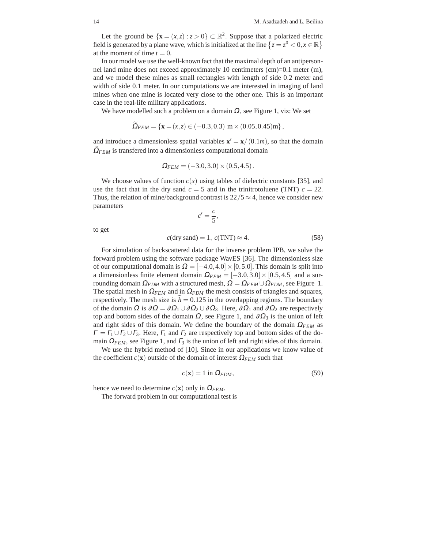Let the ground be  $\{x = (x, z) : z > 0\} \subset \mathbb{R}^2$ . Suppose that a polarized electric field is generated by a plane wave, which is initialized at the line  $\{z = z^0 < 0, x \in \mathbb{R}\}\$ at the moment of time  $t = 0$ .

In our model we use the well-known fact that the maximal depth of an antipersonnel land mine does not exceed approximately 10 centimeters (cm)=0.1 meter (m), and we model these mines as small rectangles with length of side 0.2 meter and width of side 0.1 meter. In our computations we are interested in imaging of land mines when one mine is located very close to the other one. This is an important case in the real-life military applications.

We have modelled such a problem on a domain  $\Omega$ , see Figure 1, viz: We set

$$
\Omega_{FEM} = \{ \mathbf{x} = (x, z) \in (-0.3, 0.3) \, \text{m} \times (0.05, 0.45) \text{m} \},
$$

and introduce a dimensionless spatial variables  $\mathbf{x}' = \mathbf{x}/(0.1m)$ , so that the domain  $\Omega_{FEM}$  is transfered into a dimensionless computational domain

$$
\Omega_{FEM} = (-3.0, 3.0) \times (0.5, 4.5).
$$

We choose values of function  $c(x)$  using tables of dielectric constants [35], and use the fact that in the dry sand  $c = 5$  and in the trinitrotoluene (TNT)  $c = 22$ . Thus, the relation of mine/background contrast is  $22/5 \approx 4$ , hence we consider new parameters  $c' = \frac{c}{\epsilon}$ 

 $\frac{6}{5}$ 

to get

$$
c(\text{dry sand}) = 1, \ c(TNT) \approx 4. \tag{58}
$$

For simulation of backscattered data for the inverse problem IPB, we solve the forward problem using the software package WavES [36]. The dimensionless size of our computational domain is  $\Omega = [-4.0, 4.0] \times [0, 5.0]$ . This domain is split into a dimensionless finite element domain  $\Omega_{FEM} = [-3.0, 3.0] \times [0.5, 4.5]$  and a surrounding domain  $\Omega_{FDM}$  with a structured mesh,  $\Omega = \Omega_{FEM} \cup \Omega_{FDM}$ , see Figure 1. The spatial mesh in  $\Omega_{FEM}$  and in  $\Omega_{FDM}$  the mesh consists of triangles and squares, respectively. The mesh size is  $h = 0.125$  in the overlapping regions. The boundary of the domain  $\Omega$  is  $\partial \Omega = \partial \Omega_1 \cup \partial \Omega_2 \cup \partial \Omega_3$ . Here,  $\partial \Omega_1$  and  $\partial \Omega_2$  are respectively top and bottom sides of the domain  $\Omega$ , see Figure 1, and  $\partial \Omega_3$  is the union of left and right sides of this domain. We define the boundary of the domain  $\Omega_{FEM}$  as  $\Gamma = \Gamma_1 \cup \Gamma_2 \cup \Gamma_3$ . Here,  $\Gamma_1$  and  $\Gamma_2$  are respectively top and bottom sides of the domain  $\Omega_{FEM}$ , see Figure 1, and  $\Gamma_3$  is the union of left and right sides of this domain.

We use the hybrid method of [10]. Since in our applications we know value of the coefficient  $c(\mathbf{x})$  outside of the domain of interest  $\Omega_{FEM}$  such that

$$
c(\mathbf{x}) = 1 \text{ in } \Omega_{FDM},\tag{59}
$$

hence we need to determine  $c(\mathbf{x})$  only in  $\Omega_{FEM}$ .

The forward problem in our computational test is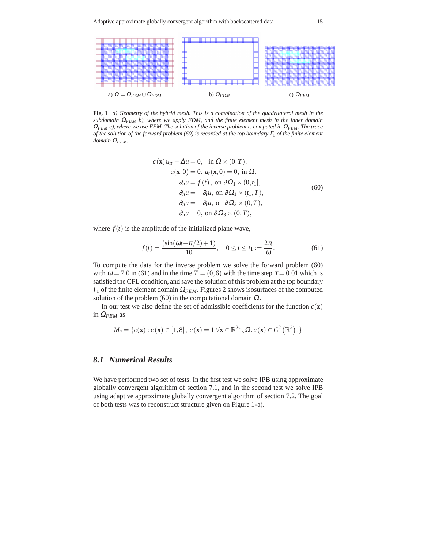

**Fig. 1** *a) Geometry of the hybrid mesh. This is a combination of the quadrilateral mesh in the subdomain* <sup>Ω</sup>*FDM b), where we apply FDM, and the finite element mesh in the inner domain* <sup>Ω</sup>*FEM c), where we use FEM. The solution of the inverse problem is computed in* <sup>Ω</sup>*FEM. The trace of the solution of the forward problem (60) is recorded at the top boundary* <sup>Γ</sup><sup>1</sup> *of the finite element domain* <sup>Ω</sup>*FEM.*

$$
c(\mathbf{x}) u_{tt} - \Delta u = 0, \text{ in } \Omega \times (0, T),
$$
  
\n
$$
u(\mathbf{x}, 0) = 0, u_t(\mathbf{x}, 0) = 0, \text{ in } \Omega,
$$
  
\n
$$
\partial_n u = f(t), \text{ on } \partial \Omega_1 \times (0, t_1],
$$
  
\n
$$
\partial_n u = -\partial_t u, \text{ on } \partial \Omega_2 \times (t_1, T),
$$
  
\n
$$
\partial_n u = -\partial_t u, \text{ on } \partial \Omega_2 \times (0, T),
$$
  
\n
$$
\partial_n u = 0, \text{ on } \partial \Omega_3 \times (0, T),
$$
\n(60)

where  $f(t)$  is the amplitude of the initialized plane wave,

$$
f(t) = \frac{(\sin(\omega t - \pi/2) + 1)}{10}, \quad 0 \le t \le t_1 := \frac{2\pi}{\omega}.
$$
 (61)

To compute the data for the inverse problem we solve the forward problem (60) with  $\omega = 7.0$  in (61) and in the time  $T = (0,6)$  with the time step  $\tau = 0.01$  which is satisfied the CFL condition, and save the solution of this problem at the top boundary <sup>Γ</sup><sup>1</sup> of the finite element domain <sup>Ω</sup>*FEM*. Figures 2 shows isosurfaces of the computed solution of the problem (60) in the computational domain  $\Omega$ .

In our test we also define the set of admissible coefficients for the function  $c(\mathbf{x})$ in  $\Omega$ <sub>FEM</sub> as

$$
M_c = \{c(\mathbf{x}) : c(\mathbf{x}) \in [1,8], c(\mathbf{x}) = 1 \,\forall \mathbf{x} \in \mathbb{R}^2 \setminus \Omega, c(\mathbf{x}) \in C^2(\mathbb{R}^2) \,.\}
$$

#### *8.1 Numerical Results*

We have performed two set of tests. In the first test we solve IPB using approximate globally convergent algorithm of section 7.1, and in the second test we solve IPB using adaptive approximate globally convergent algorithm of section 7.2. The goal of both tests was to reconstruct structure given on Figure 1-a).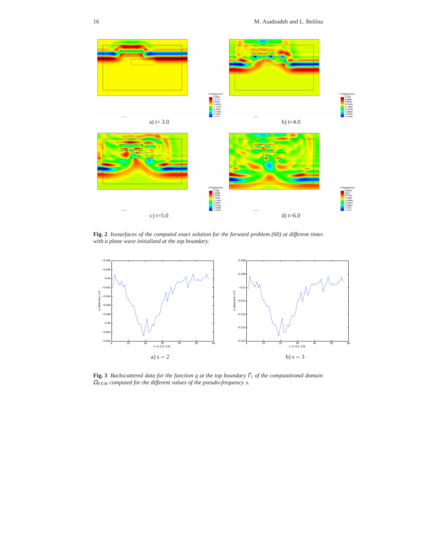

**Fig. 2** *Isosurfaces of the computed exact solution for the forward problem (60) at different times with a plane wave initialized at the top boundary.*



**Fig. 3** *Backscattered data for the function q at the top boundary* <sup>Γ</sup><sup>1</sup> *of the computational domain* <sup>Ω</sup>*FEM computed for the different values of the pseudo-frequency s.*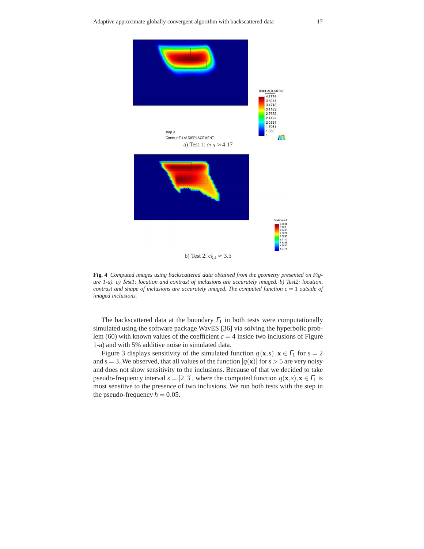

**Fig. 4** *Computed images using backscattered data obtained from the geometry presented on Figure 1-a). a) Test1: location and contrast of inclusions are accurately imaged. b) Test2: location, contrast and shape of inclusions are accurately imaged. The computed function*  $c = 1$  *outside of imaged inclusions.*

The backscattered data at the boundary  $\Gamma_1$  in both tests were computationally simulated using the software package WavES [36] via solving the hyperbolic problem (60) with known values of the coefficient  $c = 4$  inside two inclusions of Figure 1-a) and with 5% additive noise in simulated data.

Figure 3 displays sensitivity of the simulated function  $q(\mathbf{x}, s)$ ,  $\mathbf{x} \in \Gamma_1$  for  $s = 2$ and  $s = 3$ . We observed, that all values of the function  $|q(\mathbf{x})|$  for  $s > 5$  are very noisy and does not show sensitivity to the inclusions. Because of that we decided to take pseudo-frequency interval  $s = [2,3]$ , where the computed function  $q(\mathbf{x},s), \mathbf{x} \in \Gamma_1$  is most sensitive to the presence of two inclusions. We run both tests with the step in the pseudo-frequency  $h = 0.05$ .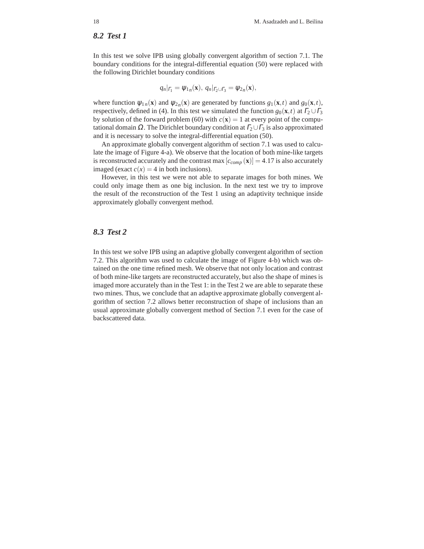#### *8.2 Test 1*

In this test we solve IPB using globally convergent algorithm of section 7.1. The boundary conditions for the integral-differential equation (50) were replaced with the following Dirichlet boundary conditions

$$
q_n|_{\Gamma_1} = \psi_{1n}(\mathbf{x}), \ q_n|_{\Gamma_2 \cup \Gamma_3} = \psi_{2n}(\mathbf{x}),
$$

where function  $\psi_{1n}(\mathbf{x})$  and  $\psi_{2n}(\mathbf{x})$  are generated by functions  $g_1(\mathbf{x},t)$  and  $g_0(\mathbf{x},t)$ , respectively, defined in (4). In this test we simulated the function  $g_0(\mathbf{x},t)$  at  $\Gamma_2 \cup \Gamma_3$ by solution of the forward problem (60) with  $c(\mathbf{x}) = 1$  at every point of the computational domain  $\Omega$ . The Dirichlet boundary condition at  $\Gamma_2 \cup \Gamma_3$  is also approximated and it is necessary to solve the integral-differential equation (50).

An approximate globally convergent algorithm of section 7.1 was used to calculate the image of Figure 4-a). We observe that the location of both mine-like targets is reconstructed accurately and the contrast max  $[c_{comp}(\mathbf{x})] = 4.17$  is also accurately imaged (exact  $c(x) = 4$  in both inclusions).

However, in this test we were not able to separate images for both mines. We could only image them as one big inclusion. In the next test we try to improve the result of the reconstruction of the Test 1 using an adaptivity technique inside approximately globally convergent method.

#### *8.3 Test 2*

In this test we solve IPB using an adaptive globally convergent algorithm of section 7.2. This algorithm was used to calculate the image of Figure 4-b) which was obtained on the one time refined mesh. We observe that not only location and contrast of both mine-like targets are reconstructed accurately, but also the shape of mines is imaged more accurately than in the Test 1: in the Test 2 we are able to separate these two mines. Thus, we conclude that an adaptive approximate globally convergent algorithm of section 7.2 allows better reconstruction of shape of inclusions than an usual approximate globally convergent method of Section 7.1 even for the case of backscattered data.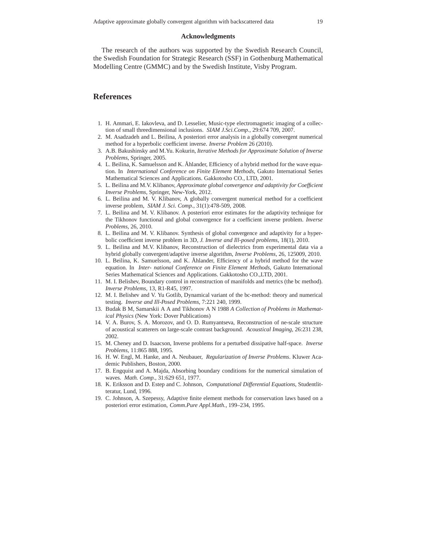#### **Acknowledgments**

The research of the authors was supported by the Swedish Research Council, the Swedish Foundation for Strategic Research (SSF) in Gothenburg Mathematical Modelling Centre (GMMC) and by the Swedish Institute, Visby Program.

#### **References**

- 1. H. Ammari, E. Iakovleva, and D. Lesselier, Music-type electromagnetic imaging of a collection of small threedimensional inclusions. *SIAM J.Sci.Comp.*, 29:674 709, 2007.
- 2. M. Asadzadeh and L. Beilina, A posteriori error analysis in a globally convergent numerical method for a hyperbolic coefficient inverse. *Inverse Problem* 26 (2010).
- 3. A.B. Bakushinsky and M.Yu. Kokurin, *Iterative Methods for Approximate Solution of Inverse Problems*, Springer, 2005.
- 4. L. Beilina, K. Samuelsson and K. Åhlander, Efficiency of a hybrid method for the wave equation. In *International Conference on Finite Element Methods*, Gakuto International Series Mathematical Sciences and Applications. Gakkotosho CO., LTD, 2001.
- 5. L. Beilina and M.V. Klibanov, *Approximate global convergence and adaptivity for Coefficient Inverse Problems*, Springer, New-York, 2012.
- 6. L. Beilina and M. V. Klibanov, A globally convergent numerical method for a coefficient inverse problem, *SIAM J. Sci. Comp.*, 31(1):478-509, 2008.
- 7. L. Beilina and M. V. Klibanov. A posteriori error estimates for the adaptivity technique for the Tikhonov functional and global convergence for a coefficient inverse problem. *Inverse Problems*, 26, 2010.
- 8. L. Beilina and M. V. Klibanov. Synthesis of global convergence and adaptivity for a hyperbolic coefficient inverse problem in 3D, *J. Inverse and Ill-posed problems*, 18(1), 2010.
- 9. L. Beilina and M.V. Klibanov, Reconstruction of dielectrics from experimental data via a hybrid globally convergent/adaptive inverse algorithm, *Inverse Problems*, 26, 125009, 2010.
- 10. L. Beilina, K. Samuelsson, and K. Ahlander, Efficiency of a hybrid method for the wave equation. In *Inter- national Conference on Finite Element Methods*, Gakuto International Series Mathematical Sciences and Applications. Gakkotosho CO.,LTD, 2001.
- 11. M. I. Belishev, Boundary control in reconstruction of manifolds and metrics (the bc method). *Inverse Problems*, 13, R1-R45, 1997.
- 12. M. I. Belishev and V. Yu Gotlib, Dynamical variant of the bc-method: theory and numerical testing. *Inverse and Ill-Posed Problems*, 7:221 240, 1999.
- 13. Budak B M, Samarskii A A and Tikhonov A N 1988 *A Collection of Problems in Mathematical Physics* (New York: Dover Publications)
- 14. V. A. Burov, S. A. Morozov, and O. D. Rumyantseva, Reconstruction of ne-scale structure of acoustical scatterers on large-scale contrast background. *Acoustical Imaging*, 26:231 238, 2002.
- 15. M. Cheney and D. Isaacson, Inverse problems for a perturbed dissipative half-space. *Inverse Problems*, 11:865 888, 1995.
- 16. H. W. Engl, M. Hanke, and A. Neubauer, *Regularization of Inverse Problems*. Kluwer Academic Publishers, Boston, 2000.
- 17. B. Engquist and A. Majda, Absorbing boundary conditions for the numerical simulation of waves. *Math. Comp.*, 31:629 651, 1977.
- 18. K. Eriksson and D. Estep and C. Johnson, *Computational Differential Equations*, Studentlitteratur, Lund, 1996.
- 19. C. Johnson, A. Szepessy, Adaptive finite element methods for conservation laws based on a posteriori error estimation, *Comm.Pure Appl.Math.*, 199–234, 1995.